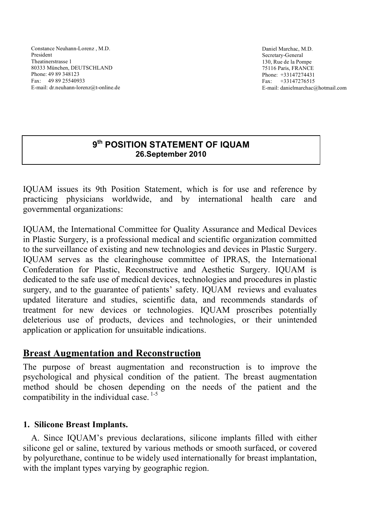Constance Neuhann-Lorenz , M.D. President Theatinerstrasse 1 80333 München, DEUTSCHLAND Phone: 49 89 348123 Fax: 49 89 25540933 E-mail: dr.neuhann-lorenz@t-online.de

Daniel Marchac, M.D. Secretary-General 130, Rue de la Pompe 75116 Paris, FRANCE Phone: +33147274431 Fax: +33147276515 E-mail: danielmarchac@hotmail.com

## **9th POSITION STATEMENT OF IQUAM 26.September 2010**

IQUAM issues its 9th Position Statement, which is for use and reference by practicing physicians worldwide, and by international health care and governmental organizations:

IQUAM, the International Committee for Quality Assurance and Medical Devices in Plastic Surgery, is a professional medical and scientific organization committed to the surveillance of existing and new technologies and devices in Plastic Surgery. IQUAM serves as the clearinghouse committee of IPRAS, the International Confederation for Plastic, Reconstructive and Aesthetic Surgery. IQUAM is dedicated to the safe use of medical devices, technologies and procedures in plastic surgery, and to the guarantee of patients' safety. IQUAM reviews and evaluates updated literature and studies, scientific data, and recommends standards of treatment for new devices or technologies. IQUAM proscribes potentially deleterious use of products, devices and technologies, or their unintended application or application for unsuitable indications.

## **Breast Augmentation and Reconstruction**

The purpose of breast augmentation and reconstruction is to improve the psychological and physical condition of the patient. The breast augmentation method should be chosen depending on the needs of the patient and the compatibility in the individual case.  $1-5$ 

### **1. Silicone Breast Implants.**

A. Since IQUAM's previous declarations, silicone implants filled with either silicone gel or saline, textured by various methods or smooth surfaced, or covered by polyurethane, continue to be widely used internationally for breast implantation, with the implant types varying by geographic region.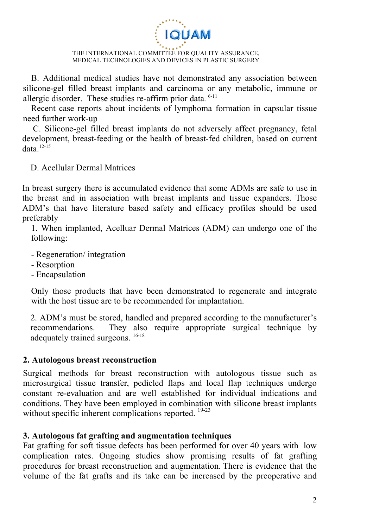

B. Additional medical studies have not demonstrated any association between silicone-gel filled breast implants and carcinoma or any metabolic, immune or allergic disorder. These studies re-affirm prior data. 6-11

Recent case reports about incidents of lymphoma formation in capsular tissue need further work-up

C. Silicone-gel filled breast implants do not adversely affect pregnancy, fetal development, breast-feeding or the health of breast-fed children, based on current data $12-15$ 

D. Acellular Dermal Matrices

In breast surgery there is accumulated evidence that some ADMs are safe to use in the breast and in association with breast implants and tissue expanders. Those ADM's that have literature based safety and efficacy profiles should be used preferably

1. When implanted, Acelluar Dermal Matrices (ADM) can undergo one of the following:

- Regeneration/ integration
- Resorption
- Encapsulation

Only those products that have been demonstrated to regenerate and integrate with the host tissue are to be recommended for implantation.

2. ADM's must be stored, handled and prepared according to the manufacturer's recommendations. They also require appropriate surgical technique by adequately trained surgeons. <sup>16-18</sup>

### **2. Autologous breast reconstruction**

Surgical methods for breast reconstruction with autologous tissue such as microsurgical tissue transfer, pedicled flaps and local flap techniques undergo constant re-evaluation and are well established for individual indications and conditions. They have been employed in combination with silicone breast implants without specific inherent complications reported. <sup>19-23</sup>

### **3. Autologous fat grafting and augmentation techniques**

Fat grafting for soft tissue defects has been performed for over 40 years with low complication rates. Ongoing studies show promising results of fat grafting procedures for breast reconstruction and augmentation. There is evidence that the volume of the fat grafts and its take can be increased by the preoperative and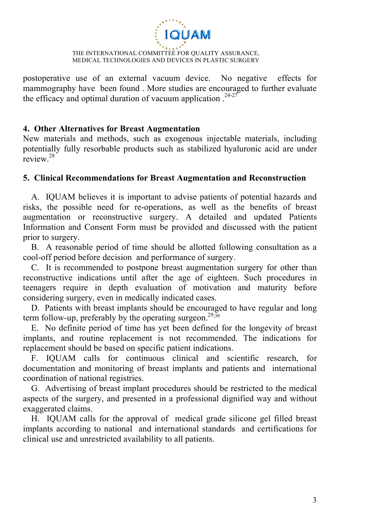

postoperative use of an external vacuum device. No negative effects for mammography have been found . More studies are encouraged to further evaluate the efficacy and optimal duration of vacuum application  $.24-27$ 

#### **4. Other Alternatives for Breast Augmentation**

New materials and methods, such as exogenous injectable materials, including potentially fully resorbable products such as stabilized hyaluronic acid are under review.<sup>28</sup>

#### **5. Clinical Recommendations for Breast Augmentation and Reconstruction**

A. IQUAM believes it is important to advise patients of potential hazards and risks, the possible need for re-operations, as well as the benefits of breast augmentation or reconstructive surgery. A detailed and updated Patients Information and Consent Form must be provided and discussed with the patient prior to surgery.

B. A reasonable period of time should be allotted following consultation as a cool-off period before decision and performance of surgery.

C. It is recommended to postpone breast augmentation surgery for other than reconstructive indications until after the age of eighteen. Such procedures in teenagers require in depth evaluation of motivation and maturity before considering surgery, even in medically indicated cases.

D. Patients with breast implants should be encouraged to have regular and long term follow-up, preferably by the operating surgeon.<sup>29,30</sup>

E. No definite period of time has yet been defined for the longevity of breast implants, and routine replacement is not recommended. The indications for replacement should be based on specific patient indications.

F. IQUAM calls for continuous clinical and scientific research, for documentation and monitoring of breast implants and patients and international coordination of national registries.

G. Advertising of breast implant procedures should be restricted to the medical aspects of the surgery, and presented in a professional dignified way and without exaggerated claims.

H. IQUAM calls for the approval of medical grade silicone gel filled breast implants according to national and international standards and certifications for clinical use and unrestricted availability to all patients.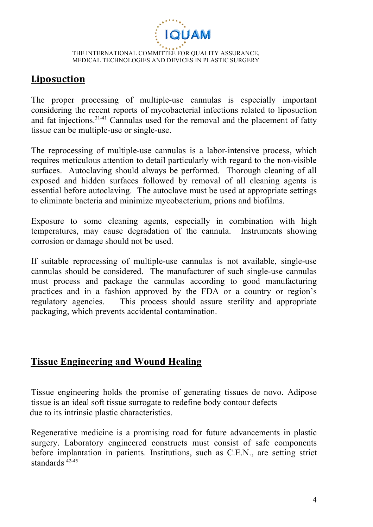

# **Liposuction**

The proper processing of multiple-use cannulas is especially important considering the recent reports of mycobacterial infections related to liposuction and fat injections.31-41 Cannulas used for the removal and the placement of fatty tissue can be multiple-use or single-use.

The reprocessing of multiple-use cannulas is a labor-intensive process, which requires meticulous attention to detail particularly with regard to the non-visible surfaces. Autoclaving should always be performed. Thorough cleaning of all exposed and hidden surfaces followed by removal of all cleaning agents is essential before autoclaving. The autoclave must be used at appropriate settings to eliminate bacteria and minimize mycobacterium, prions and biofilms.

Exposure to some cleaning agents, especially in combination with high temperatures, may cause degradation of the cannula. Instruments showing corrosion or damage should not be used.

If suitable reprocessing of multiple-use cannulas is not available, single-use cannulas should be considered. The manufacturer of such single-use cannulas must process and package the cannulas according to good manufacturing practices and in a fashion approved by the FDA or a country or region's regulatory agencies. This process should assure sterility and appropriate packaging, which prevents accidental contamination.

## **Tissue Engineering and Wound Healing**

Tissue engineering holds the promise of generating tissues de novo. Adipose tissue is an ideal soft tissue surrogate to redefine body contour defects due to its intrinsic plastic characteristics.

Regenerative medicine is a promising road for future advancements in plastic surgery. Laboratory engineered constructs must consist of safe components before implantation in patients. Institutions, such as C.E.N., are setting strict standards 42-45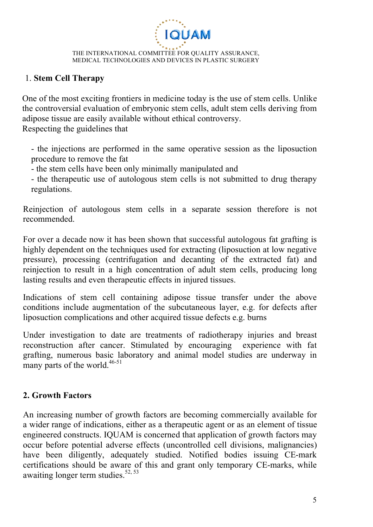

### 1. **Stem Cell Therapy**

One of the most exciting frontiers in medicine today is the use of stem cells. Unlike the controversial evaluation of embryonic stem cells, adult stem cells deriving from adipose tissue are easily available without ethical controversy. Respecting the guidelines that

- the injections are performed in the same operative session as the liposuction procedure to remove the fat

- the stem cells have been only minimally manipulated and

- the therapeutic use of autologous stem cells is not submitted to drug therapy regulations.

Reinjection of autologous stem cells in a separate session therefore is not recommended.

For over a decade now it has been shown that successful autologous fat grafting is highly dependent on the techniques used for extracting (liposuction at low negative pressure), processing (centrifugation and decanting of the extracted fat) and reinjection to result in a high concentration of adult stem cells, producing long lasting results and even therapeutic effects in injured tissues.

Indications of stem cell containing adipose tissue transfer under the above conditions include augmentation of the subcutaneous layer, e.g. for defects after liposuction complications and other acquired tissue defects e.g. burns

Under investigation to date are treatments of radiotherapy injuries and breast reconstruction after cancer. Stimulated by encouraging experience with fat grafting, numerous basic laboratory and animal model studies are underway in many parts of the world.<sup>46-51</sup>

## **2. Growth Factors**

An increasing number of growth factors are becoming commercially available for a wider range of indications, either as a therapeutic agent or as an element of tissue engineered constructs. IQUAM is concerned that application of growth factors may occur before potential adverse effects (uncontrolled cell divisions, malignancies) have been diligently, adequately studied. Notified bodies issuing CE-mark certifications should be aware of this and grant only temporary CE-marks, while awaiting longer term studies. $52, 53$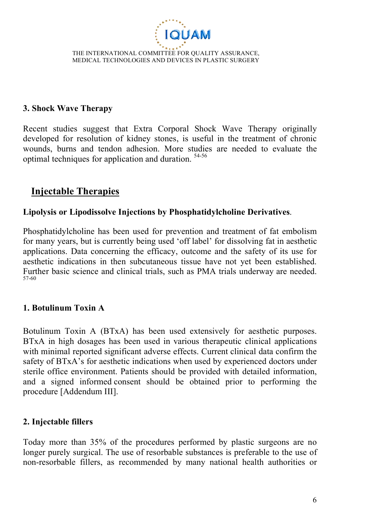

### **3. Shock Wave Therapy**

Recent studies suggest that Extra Corporal Shock Wave Therapy originally developed for resolution of kidney stones, is useful in the treatment of chronic wounds, burns and tendon adhesion. More studies are needed to evaluate the optimal techniques for application and duration. 54-56

## **Injectable Therapies**

### **Lipolysis or Lipodissolve Injections by Phosphatidylcholine Derivatives**.

Phosphatidylcholine has been used for prevention and treatment of fat embolism for many years, but is currently being used 'off label' for dissolving fat in aesthetic applications. Data concerning the efficacy, outcome and the safety of its use for aesthetic indications in then subcutaneous tissue have not yet been established. Further basic science and clinical trials, such as PMA trials underway are needed. 57-60

### **1. Botulinum Toxin A**

Botulinum Toxin A (BTxA) has been used extensively for aesthetic purposes. BTxA in high dosages has been used in various therapeutic clinical applications with minimal reported significant adverse effects. Current clinical data confirm the safety of BTxA's for aesthetic indications when used by experienced doctors under sterile office environment. Patients should be provided with detailed information, and a signed informed consent should be obtained prior to performing the procedure [Addendum III].

### **2. Injectable fillers**

Today more than 35% of the procedures performed by plastic surgeons are no longer purely surgical. The use of resorbable substances is preferable to the use of non-resorbable fillers, as recommended by many national health authorities or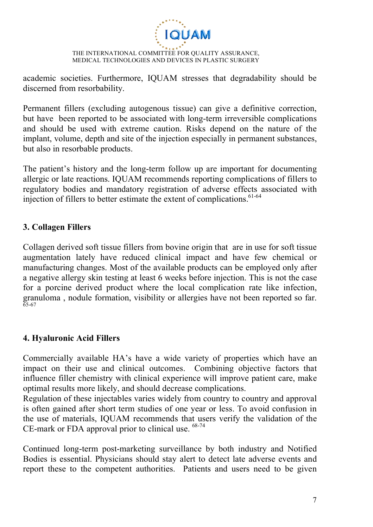

academic societies. Furthermore, IQUAM stresses that degradability should be discerned from resorbability.

Permanent fillers (excluding autogenous tissue) can give a definitive correction, but have been reported to be associated with long-term irreversible complications and should be used with extreme caution. Risks depend on the nature of the implant, volume, depth and site of the injection especially in permanent substances, but also in resorbable products.

The patient's history and the long-term follow up are important for documenting allergic or late reactions. IQUAM recommends reporting complications of fillers to regulatory bodies and mandatory registration of adverse effects associated with injection of fillers to better estimate the extent of complications. $61-64$ 

### **3. Collagen Fillers**

Collagen derived soft tissue fillers from bovine origin that are in use for soft tissue augmentation lately have reduced clinical impact and have few chemical or manufacturing changes. Most of the available products can be employed only after a negative allergy skin testing at least 6 weeks before injection. This is not the case for a porcine derived product where the local complication rate like infection, granuloma , nodule formation, visibility or allergies have not been reported so far. 65-67

### **4. Hyaluronic Acid Fillers**

Commercially available HA's have a wide variety of properties which have an impact on their use and clinical outcomes. Combining objective factors that influence filler chemistry with clinical experience will improve patient care, make optimal results more likely, and should decrease complications.

Regulation of these injectables varies widely from country to country and approval is often gained after short term studies of one year or less. To avoid confusion in the use of materials, IQUAM recommends that users verify the validation of the CE-mark or FDA approval prior to clinical use.  $68-74$ 

Continued long-term post-marketing surveillance by both industry and Notified Bodies is essential. Physicians should stay alert to detect late adverse events and report these to the competent authorities. Patients and users need to be given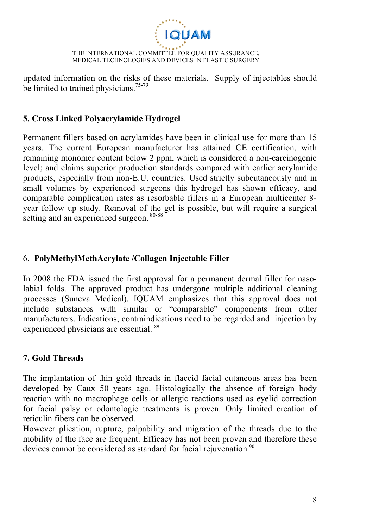

updated information on the risks of these materials. Supply of injectables should be limited to trained physicians.<sup>75-79</sup>

### **5. Cross Linked Polyacrylamide Hydrogel**

Permanent fillers based on acrylamides have been in clinical use for more than 15 years. The current European manufacturer has attained CE certification, with remaining monomer content below 2 ppm, which is considered a non-carcinogenic level; and claims superior production standards compared with earlier acrylamide products, especially from non-E.U. countries. Used strictly subcutaneously and in small volumes by experienced surgeons this hydrogel has shown efficacy, and comparable complication rates as resorbable fillers in a European multicenter 8 year follow up study. Removal of the gel is possible, but will require a surgical setting and an experienced surgeon. <sup>80-88</sup>

### 6. **PolyMethylMethAcrylate /Collagen Injectable Filler**

In 2008 the FDA issued the first approval for a permanent dermal filler for nasolabial folds. The approved product has undergone multiple additional cleaning processes (Suneva Medical). IQUAM emphasizes that this approval does not include substances with similar or "comparable" components from other manufacturers. Indications, contraindications need to be regarded and injection by experienced physicians are essential. <sup>89</sup>

## **7. Gold Threads**

The implantation of thin gold threads in flaccid facial cutaneous areas has been developed by Caux 50 years ago. Histologically the absence of foreign body reaction with no macrophage cells or allergic reactions used as eyelid correction for facial palsy or odontologic treatments is proven. Only limited creation of reticulin fibers can be observed.

However plication, rupture, palpability and migration of the threads due to the mobility of the face are frequent. Efficacy has not been proven and therefore these devices cannot be considered as standard for facial rejuvenation <sup>90</sup>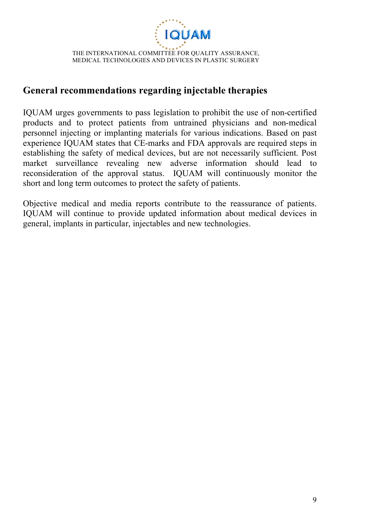

# **General recommendations regarding injectable therapies**

IQUAM urges governments to pass legislation to prohibit the use of non-certified products and to protect patients from untrained physicians and non-medical personnel injecting or implanting materials for various indications. Based on past experience IQUAM states that CE-marks and FDA approvals are required steps in establishing the safety of medical devices, but are not necessarily sufficient. Post market surveillance revealing new adverse information should lead to reconsideration of the approval status. IQUAM will continuously monitor the short and long term outcomes to protect the safety of patients.

Objective medical and media reports contribute to the reassurance of patients. IQUAM will continue to provide updated information about medical devices in general, implants in particular, injectables and new technologies.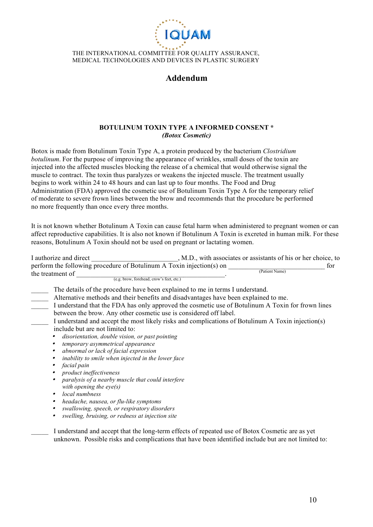

### **Addendum**

#### **BOTULINUM TOXIN TYPE A INFORMED CONSENT \*** *(Botox Cosmetic)*

Botox is made from Botulinum Toxin Type A, a protein produced by the bacterium *Clostridium botulinum*. For the purpose of improving the appearance of wrinkles, small doses of the toxin are injected into the affected muscles blocking the release of a chemical that would otherwise signal the muscle to contract. The toxin thus paralyzes or weakens the injected muscle. The treatment usually begins to work within 24 to 48 hours and can last up to four months. The Food and Drug Administration (FDA) approved the cosmetic use of Botulinum Toxin Type A for the temporary relief of moderate to severe frown lines between the brow and recommends that the procedure be performed no more frequently than once every three months.

It is not known whether Botulinum A Toxin can cause fetal harm when administered to pregnant women or can affect reproductive capabilities. It is also not known if Botulinum A Toxin is excreted in human milk. For these reasons, Botulinum A Toxin should not be used on pregnant or lactating women.

I authorize and direct \_\_\_\_\_\_\_\_\_\_\_\_\_\_\_\_\_\_\_, M.D., with associates or assistants of his or her choice, to

| perform the following procedure of Botulinum A Toxin injection(s) on<br>(Patient Name)            | for |
|---------------------------------------------------------------------------------------------------|-----|
| the treatment of                                                                                  |     |
| (e.g. brow, forehead, crow's feet, etc.)                                                          |     |
| The details of the procedure have been explained to me in terms I understand.                     |     |
| Alternative methods and their benefits and disadvantages have been explained to me.               |     |
| I understand that the FDA has only approved the cosmetic use of Botulinum A Toxin for frown lines |     |
| between the brow. Any other cosmetic use is considered off label.                                 |     |
| I understand and accept the most likely risks and complications of Botulinum A Toxin injection(s) |     |
| include but are not limited to:                                                                   |     |
| disorientation, double vision, or past pointing                                                   |     |
| temporary asymmetrical appearance                                                                 |     |
| abnormal or lack of facial expression                                                             |     |
| inability to smile when injected in the lower face                                                |     |
| facial pain                                                                                       |     |
| product ineffectiveness                                                                           |     |
| paralysis of a nearby muscle that could interfere                                                 |     |
| with opening the $eye(s)$                                                                         |     |
| local numbness                                                                                    |     |
| headache, nausea, or flu-like symptoms                                                            |     |
| swallowing, speech, or respiratory disorders                                                      |     |
| swelling, bruising, or redness at injection site                                                  |     |

I understand and accept that the long-term effects of repeated use of Botox Cosmetic are as yet unknown. Possible risks and complications that have been identified include but are not limited to: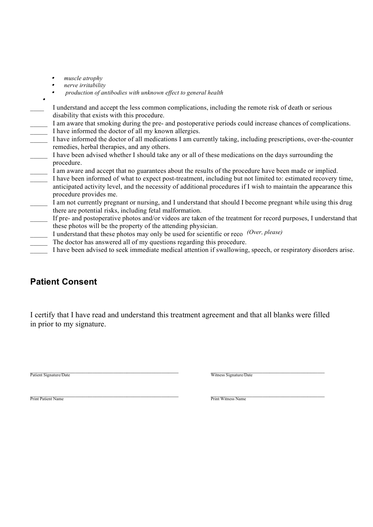•*muscle atrophy*

•

- •*nerve irritability*
- • *production of antibodies with unknown effect to general health*
- \_\_\_\_ I understand and accept the less common complications, including the remote risk of death or serious disability that exists with this procedure.
- I am aware that smoking during the pre- and postoperative periods could increase chances of complications. I have informed the doctor of all my known allergies.
- \_\_\_\_\_ I have informed the doctor of all medications I am currently taking, including prescriptions, over-the-counter remedies, herbal therapies, and any others.
- I have been advised whether I should take any or all of these medications on the days surrounding the procedure.
	- I am aware and accept that no guarantees about the results of the procedure have been made or implied.
- I have been informed of what to expect post-treatment, including but not limited to: estimated recovery time, anticipated activity level, and the necessity of additional procedures if I wish to maintain the appearance this procedure provides me.
- I am not currently pregnant or nursing, and I understand that should I become pregnant while using this drug there are potential risks, including fetal malformation.
- \_\_\_\_\_ If pre- and postoperative photos and/or videos are taken of the treatment for record purposes, I understand that these photos will be the property of the attending physician.
- I understand that these photos may only be used for scientific or reco<sup>(Over, please)</sup>
- The doctor has answered all of my questions regarding this procedure.
- I have been advised to seek immediate medical attention if swallowing, speech, or respiratory disorders arise.

## **Patient Consent**

I certify that I have read and understand this treatment agreement and that all blanks were filled in prior to my signature.

Patient Signature/Date **Network of the Community of the Community** Section of the Community of Text of the Community of Text of the Community of Text of the Community of Text of the Community of Text of the Community of Te

Print Patient Name<br>
Print Witness Name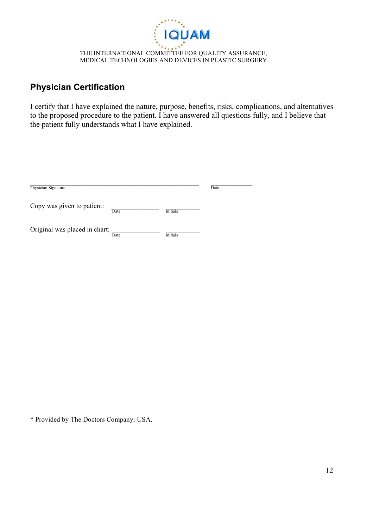

## **Physician Certification**

I certify that I have explained the nature, purpose, benefits, risks, complications, and alternatives to the proposed procedure to the patient. I have answered all questions fully, and I believe that the patient fully understands what I have explained.

| Physician Signature           |      |                 | Date |
|-------------------------------|------|-----------------|------|
| Copy was given to patient:    | Date | <b>Initials</b> |      |
| Original was placed in chart: | Date | <b>Initials</b> |      |

\* Provided by The Doctors Company, USA.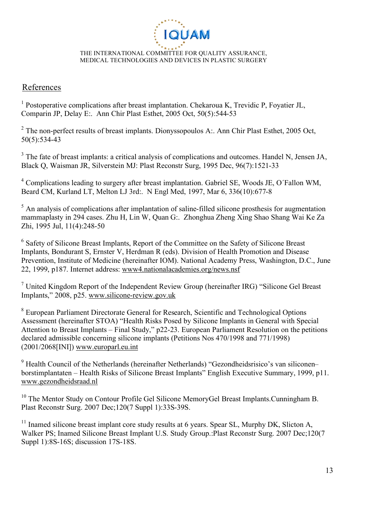

#### **References**

<sup>1</sup> Postoperative complications after breast implantation. Chekaroua K, Trevidic P, Foyatier JL, Comparin JP, Delay E:. Ann Chir Plast Esthet, 2005 Oct, 50(5):544-53

 $2^2$  The non-perfect results of breast implants. Dionyssopoulos A:. Ann Chir Plast Esthet, 2005 Oct, 50(5):534-43

<sup>3</sup> The fate of breast implants: a critical analysis of complications and outcomes. Handel N, Jensen JA, Black Q, Waisman JR, Silverstein MJ: Plast Reconstr Surg, 1995 Dec, 96(7):1521-33

<sup>4</sup> Complications leading to surgery after breast implantation. Gabriel SE, Woods JE, O´Fallon WM, Beard CM, Kurland LT, Melton LJ 3rd:. N Engl Med, 1997, Mar 6, 336(10):677-8

 $<sup>5</sup>$  An analysis of complications after implantation of saline-filled silicone prosthesis for augmentation</sup> mammaplasty in 294 cases. Zhu H, Lin W, Quan G:. Zhonghua Zheng Xing Shao Shang Wai Ke Za Zhi, 1995 Jul, 11(4):248-50

<sup>6</sup> Safety of Silicone Breast Implants, Report of the Committee on the Safety of Silicone Breast Implants, Bondurant S, Ernster V, Herdman R (eds). Division of Health Promotion and Disease Prevention, Institute of Medicine (hereinafter IOM). National Academy Press, Washington, D.C., June 22, 1999, p187. Internet address: www4.nationalacademies.org/news.nsf

 $7$  United Kingdom Report of the Independent Review Group (hereinafter IRG) "Silicone Gel Breast Implants," 2008, p25. www.silicone-review.gov.uk

<sup>8</sup> European Parliament Directorate General for Research, Scientific and Technological Options Assessment (hereinafter STOA) "Health Risks Posed by Silicone Implants in General with Special Attention to Breast Implants – Final Study," p22-23. European Parliament Resolution on the petitions declared admissible concerning silicone implants (Petitions Nos 470/1998 and 771/1998) (2001/2068[INI]) www.europarl.eu.int

<sup>9</sup> Health Council of the Netherlands (hereinafter Netherlands) "Gezondheidsrisico's van siliconen– borstimplantaten – Health Risks of Silicone Breast Implants" English Executive Summary, 1999, p11. www.gezondheidsraad.nl

<sup>10</sup> The Mentor Study on Contour Profile Gel Silicone MemoryGel Breast Implants.Cunningham B. Plast Reconstr Surg. 2007 Dec;120(7 Suppl 1):33S-39S.

<sup>11</sup> Inamed silicone breast implant core study results at 6 years. Spear SL, Murphy DK, Slicton A, Walker PS; Inamed Silicone Breast Implant U.S. Study Group.:Plast Reconstr Surg. 2007 Dec;120(7 Suppl 1):8S-16S; discussion 17S-18S.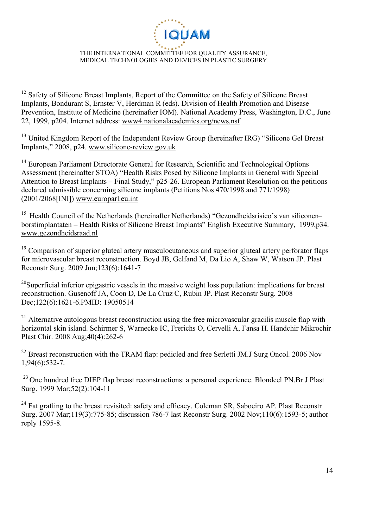

<sup>12</sup> Safety of Silicone Breast Implants, Report of the Committee on the Safety of Silicone Breast Implants, Bondurant S, Ernster V, Herdman R (eds). Division of Health Promotion and Disease Prevention, Institute of Medicine (hereinafter IOM). National Academy Press, Washington, D.C., June 22, 1999, p204. Internet address: www4.nationalacademies.org/news.nsf

<sup>13</sup> United Kingdom Report of the Independent Review Group (hereinafter IRG) "Silicone Gel Breast Implants," 2008, p24. www.silicone-review.gov.uk

<sup>14</sup> European Parliament Directorate General for Research, Scientific and Technological Options Assessment (hereinafter STOA) "Health Risks Posed by Silicone Implants in General with Special Attention to Breast Implants – Final Study," p25-26. European Parliament Resolution on the petitions declared admissible concerning silicone implants (Petitions Nos 470/1998 and 771/1998) (2001/2068[INI]) www.europarl.eu.int

<sup>15</sup> Health Council of the Netherlands (hereinafter Netherlands) "Gezondheidsrisico's van siliconen– borstimplantaten – Health Risks of Silicone Breast Implants" English Executive Summary, 1999,p34. www.gezondheidsraad.nl

 $19$  Comparison of superior gluteal artery musculocutaneous and superior gluteal artery perforator flaps for microvascular breast reconstruction. Boyd JB, Gelfand M, Da Lio A, Shaw W, Watson JP. Plast Reconstr Surg. 2009 Jun;123(6):1641-7

<sup>20</sup>Superficial inferior epigastric vessels in the massive weight loss population: implications for breast reconstruction. Gusenoff JA, Coon D, De La Cruz C, Rubin JP. Plast Reconstr Surg. 2008 Dec;122(6):1621-6.PMID: 19050514

 $21$  Alternative autologous breast reconstruction using the free microvascular gracilis muscle flap with horizontal skin island. Schirmer S, Warnecke IC, Frerichs O, Cervelli A, Fansa H. Handchir Mikrochir Plast Chir. 2008 Aug;40(4):262-6

 $^{22}$  Breast reconstruction with the TRAM flap: pedicled and free Serletti JM.J Surg Oncol. 2006 Nov 1;94(6):532-7.

 $^{23}$  One hundred free DIEP flap breast reconstructions: a personal experience. Blondeel PN.Br J Plast Surg. 1999 Mar;52(2):104-11

<sup>24</sup> Fat grafting to the breast revisited: safety and efficacy. Coleman SR, Saboeiro AP. Plast Reconstr Surg. 2007 Mar;119(3):775-85; discussion 786-7 last Reconstr Surg. 2002 Nov;110(6):1593-5; author reply 1595-8.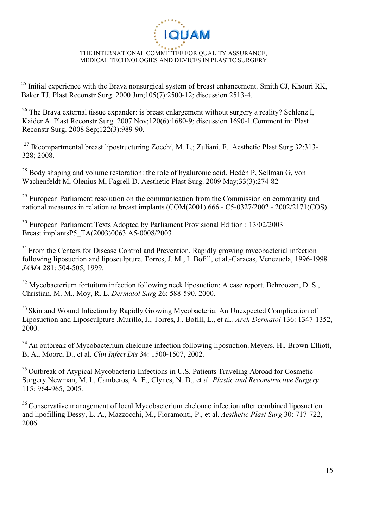

 $^{25}$  Initial experience with the Brava nonsurgical system of breast enhancement. Smith CJ, Khouri RK, Baker TJ. Plast Reconstr Surg. 2000 Jun;105(7):2500-12; discussion 2513-4.

<sup>26</sup> The Brava external tissue expander: is breast enlargement without surgery a reality? Schlenz I, Kaider A. Plast Reconstr Surg. 2007 Nov;120(6):1680-9; discussion 1690-1.Comment in: Plast Reconstr Surg. 2008 Sep;122(3):989-90.

<sup>27</sup> Bicompartmental breast lipostructuring Zocchi, M. L.; Zuliani, F., Aesthetic Plast Surg 32:313-328; 2008.

 $^{28}$  Body shaping and volume restoration: the role of hyaluronic acid. Hedén P, Sellman G, von Wachenfeldt M, Olenius M, Fagrell D. Aesthetic Plast Surg. 2009 May;33(3):274-82

<sup>29</sup> European Parliament resolution on the communication from the Commission on community and national measures in relation to breast implants (COM(2001) 666 - C5-0327/2002 - 2002/2171(COS)

<sup>30</sup> European Parliament Texts Adopted by Parliament Provisional Edition : 13/02/2003 Breast implantsP5\_TA(2003)0063 A5-0008/2003

 $31$  From the Centers for Disease Control and Prevention. Rapidly growing mycobacterial infection following liposuction and liposculpture, Torres, J. M., L Bofill, et al.-Caracas, Venezuela, 1996-1998. *JAMA* 281: 504-505, 1999.

 $32$  Mycobacterium fortuitum infection following neck liposuction: A case report. Behroozan, D. S., Christian, M. M., Moy, R. L. *Dermatol Surg* 26: 588-590, 2000.

<sup>33</sup> Skin and Wound Infection by Rapidly Growing Mycobacteria: An Unexpected Complication of Liposuction and Liposculpture ,Murillo, J., Torres, J., Bofill, L., et al.. *Arch Dermatol* 136: 1347-1352, 2000.

<sup>34</sup> An outbreak of Mycobacterium chelonae infection following liposuction. Meyers, H., Brown-Elliott, B. A., Moore, D., et al. *Clin Infect Dis* 34: 1500-1507, 2002.

<sup>35</sup> Outbreak of Atypical Mycobacteria Infections in U.S. Patients Traveling Abroad for Cosmetic Surgery.Newman, M. I., Camberos, A. E., Clynes, N. D., et al. *Plastic and Reconstructive Surgery* 115: 964-965, 2005.

<sup>36</sup> Conservative management of local Mycobacterium chelonae infection after combined liposuction and lipofilling Dessy, L. A., Mazzocchi, M., Fioramonti, P., et al. *Aesthetic Plast Surg* 30: 717-722, 2006.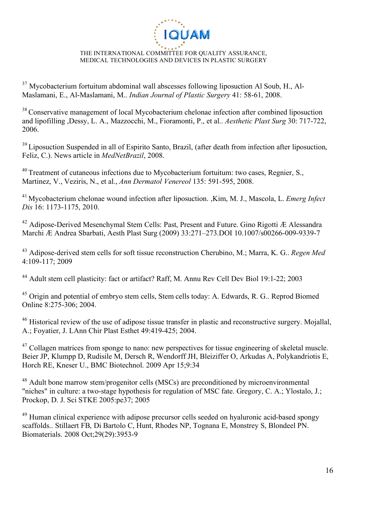

 $37$  Mycobacterium fortuitum abdominal wall abscesses following liposuction Al Soub, H., Al-Maslamani, E., Al-Maslamani, M.. *Indian Journal of Plastic Surgery* 41: 58-61, 2008.

<sup>38</sup> Conservative management of local Mycobacterium chelonae infection after combined liposuction and lipofilling ,Dessy, L. A., Mazzocchi, M., Fioramonti, P., et al.. *Aesthetic Plast Surg* 30: 717-722, 2006.

<sup>39</sup> Liposuction Suspended in all of Espirito Santo, Brazil, (after death from infection after liposuction, Feliz, C.). News article in *MedNetBrazil*, 2008.

<sup>40</sup> Treatment of cutaneous infections due to Mycobacterium fortuitum: two cases, Regnier, S., Martinez, V., Veziris, N., et al., *Ann Dermatol Venereol* 135: 591-595, 2008.

<sup>41</sup> Mycobacterium chelonae wound infection after liposuction. ,Kim, M. J., Mascola, L. *Emerg Infect Dis* 16: 1173-1175, 2010.

 $42$  Adipose-Derived Mesenchymal Stem Cells: Past, Present and Future. Gino Rigotti  $\hat{E}$  Alessandra Marchi Æ Andrea Sbarbati, Aesth Plast Surg (2009) 33:271–273.DOI 10.1007/s00266-009-9339-7

<sup>43</sup> Adipose-derived stem cells for soft tissue reconstruction Cherubino, M.; Marra, K. G.. *Regen Med*  4:109-117; 2009

<sup>44</sup> Adult stem cell plasticity: fact or artifact? Raff, M. Annu Rev Cell Dev Biol 19:1-22: 2003

<sup>45</sup> Origin and potential of embryo stem cells, Stem cells today: A. Edwards, R. G.. Reprod Biomed Online 8:275-306; 2004.

<sup>46</sup> Historical review of the use of adipose tissue transfer in plastic and reconstructive surgery. Mojallal, A.; Foyatier, J. LAnn Chir Plast Esthet 49:419-425; 2004.

<sup>47</sup> Collagen matrices from sponge to nano: new perspectives for tissue engineering of skeletal muscle. Beier JP, Klumpp D, Rudisile M, Dersch R, Wendorff JH, Bleiziffer O, Arkudas A, Polykandriotis E, Horch RE, Kneser U., BMC Biotechnol. 2009 Apr 15;9:34

<sup>48</sup> Adult bone marrow stem/progenitor cells (MSCs) are preconditioned by microenvironmental "niches" in culture: a two-stage hypothesis for regulation of MSC fate. Gregory, C. A.; Ylostalo, J.; Prockop, D. J. Sci STKE 2005:pe37; 2005

<sup>49</sup> Human clinical experience with adipose precursor cells seeded on hyaluronic acid-based spongy scaffolds.. Stillaert FB, Di Bartolo C, Hunt, Rhodes NP, Tognana E, Monstrey S, Blondeel PN. Biomaterials. 2008 Oct;29(29):3953-9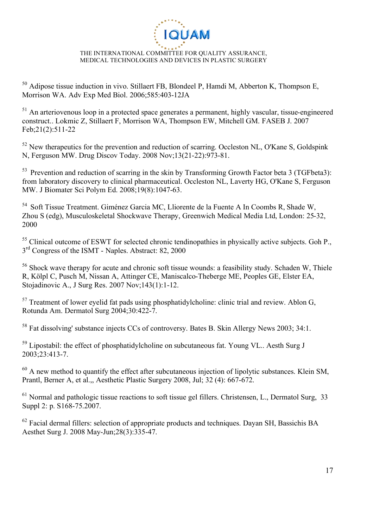

<sup>50</sup> Adipose tissue induction in vivo. Stillaert FB, Blondeel P, Hamdi M, Abberton K, Thompson E, Morrison WA. Adv Exp Med Biol. 2006;585:403-12JA

 $51$  An arteriovenous loop in a protected space generates a permanent, highly vascular, tissue-engineered construct.. Lokmic Z, Stillaert F, Morrison WA, Thompson EW, Mitchell GM. FASEB J. 2007 Feb;21(2):511-22

<sup>52</sup> New therapeutics for the prevention and reduction of scarring. Occleston NL, O'Kane S, Goldspink N, Ferguson MW. Drug Discov Today. 2008 Nov;13(21-22):973-81.

<sup>53</sup> Prevention and reduction of scarring in the skin by Transforming Growth Factor beta 3 (TGFbeta3): from laboratory discovery to clinical pharmaceutical. Occleston NL, Laverty HG, O'Kane S, Ferguson MW. J Biomater Sci Polym Ed. 2008;19(8):1047-63.

<sup>54</sup> Soft Tissue Treatment. Giménez Garcia MC, Lliorente de la Fuente A In Coombs R, Shade W, Zhou S (edg), Musculoskeletal Shockwave Therapy, Greenwich Medical Media Ltd, London: 25-32, 2000

<sup>55</sup> Clinical outcome of ESWT for selected chronic tendinopathies in physically active subjects. Goh P.,  $3<sup>rd</sup>$  Congress of the ISMT - Naples. Abstract: 82, 2000

<sup>56</sup> Shock wave therapy for acute and chronic soft tissue wounds: a feasibility study. Schaden W, Thiele R, Kölpl C, Pusch M, Nissan A, Attinger CE, Maniscalco-Theberge ME, Peoples GE, Elster EA, Stojadinovic A., J Surg Res. 2007 Nov;143(1):1-12.

 $57$  Treatment of lower eyelid fat pads using phosphatidylcholine: clinic trial and review. Ablon G, Rotunda Am. Dermatol Surg 2004;30:422-7.

<sup>58</sup> Fat dissolving' substance injects CCs of controversy. Bates B. Skin Allergy News 2003; 34:1.

 $59$  Lipostabil: the effect of phosphatidylcholine on subcutaneous fat. Young VL.. Aesth Surg J 2003;23:413-7.

 $60$  A new method to quantify the effect after subcutaneous injection of lipolytic substances. Klein SM, Prantl, Berner A, et al.,, Aesthetic Plastic Surgery 2008, Jul; 32 (4): 667-672.

 $61$  Normal and pathologic tissue reactions to soft tissue gel fillers. Christensen, L., Dermatol Surg, 33 Suppl 2: p. S168-75.2007.

 $62$  Facial dermal fillers: selection of appropriate products and techniques. Dayan SH, Bassichis BA Aesthet Surg J. 2008 May-Jun;28(3):335-47.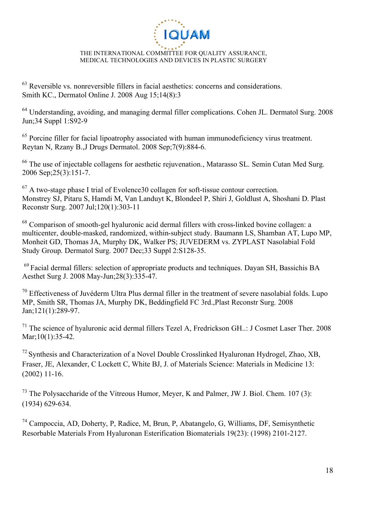

 $63$  Reversible vs. nonreversible fillers in facial aesthetics: concerns and considerations. Smith KC., Dermatol Online J. 2008 Aug 15;14(8):3

<sup>64</sup> Understanding, avoiding, and managing dermal filler complications. Cohen JL. Dermatol Surg. 2008 Jun;34 Suppl 1:S92-9

<sup>65</sup> Porcine filler for facial lipoatrophy associated with human immunodeficiency virus treatment. Reytan N, Rzany B.,J Drugs Dermatol. 2008 Sep;7(9):884-6.

<sup>66</sup> The use of injectable collagens for aesthetic rejuvenation., Matarasso SL. Semin Cutan Med Surg. 2006 Sep;25(3):151-7.

 $67$  A two-stage phase I trial of Evolence 30 collagen for soft-tissue contour correction. Monstrey SJ, Pitaru S, Hamdi M, Van Landuyt K, Blondeel P, Shiri J, Goldlust A, Shoshani D. Plast Reconstr Surg. 2007 Jul;120(1):303-11

 $68$  Comparison of smooth-gel hyaluronic acid dermal fillers with cross-linked bovine collagen: a multicenter, double-masked, randomized, within-subject study. Baumann LS, Shamban AT, Lupo MP, Monheit GD, Thomas JA, Murphy DK, Walker PS; JUVEDERM vs. ZYPLAST Nasolabial Fold Study Group. Dermatol Surg. 2007 Dec;33 Suppl 2:S128-35.

<sup>69</sup> Facial dermal fillers: selection of appropriate products and techniques. Dayan SH, Bassichis BA Aesthet Surg J. 2008 May-Jun;28(3):335-47.

 $70$  Effectiveness of Juvéderm Ultra Plus dermal filler in the treatment of severe nasolabial folds. Lupo MP, Smith SR, Thomas JA, Murphy DK, Beddingfield FC 3rd.,Plast Reconstr Surg. 2008 Jan;121(1):289-97.

<sup>71</sup> The science of hyaluronic acid dermal fillers Tezel A, Fredrickson GH..: J Cosmet Laser Ther. 2008 Mar;10(1):35-42.

 $^{72}$  Synthesis and Characterization of a Novel Double Crosslinked Hyaluronan Hydrogel, Zhao, XB, Fraser, JE, Alexander, C Lockett C, White BJ, J. of Materials Science: Materials in Medicine 13: (2002) 11-16.

 $^{73}$  The Polysaccharide of the Vitreous Humor, Meyer, K and Palmer, JW J. Biol. Chem. 107 (3): (1934) 629-634.

<sup>74</sup> Campoccia, AD, Doherty, P, Radice, M, Brun, P, Abatangelo, G, Williams, DF, Semisynthetic Resorbable Materials From Hyaluronan Esterification Biomaterials 19(23): (1998) 2101-2127.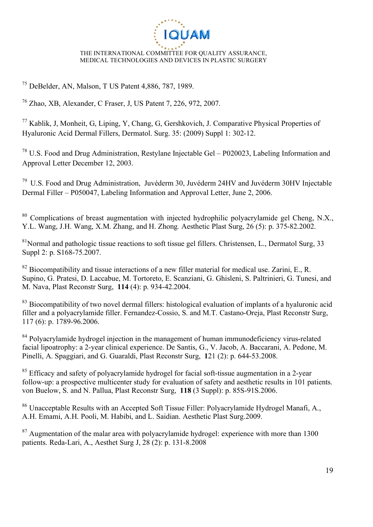

<sup>75</sup> DeBelder, AN, Malson, T US Patent 4,886, 787, 1989.

<sup>76</sup> Zhao, XB, Alexander, C Fraser, J, US Patent 7, 226, 972, 2007.

<sup>77</sup> Kablik, J, Monheit, G, Liping, Y, Chang, G, Gershkovich, J. Comparative Physical Properties of Hyaluronic Acid Dermal Fillers, Dermatol. Surg. 35: (2009) Suppl 1: 302-12.

 $^{78}$  U.S. Food and Drug Administration, Restylane Injectable Gel – P020023, Labeling Information and Approval Letter December 12, 2003.

 $79$  U.S. Food and Drug Administration, Juvéderm 30, Juvéderm 24HV and Juvéderm 30HV Injectable Dermal Filler – P050047, Labeling Information and Approval Letter, June 2, 2006.

<sup>80</sup> Complications of breast augmentation with injected hydrophilic polyacrylamide gel Cheng, N.X., Y.L. Wang, J.H. Wang, X.M. Zhang, and H. Zhong*.* Aesthetic Plast Surg, 26 (5): p. 375-82.2002.

 $81$ Normal and pathologic tissue reactions to soft tissue gel fillers. Christensen, L., Dermatol Surg, 33 Suppl 2: p. S168-75.2007.

 $82$  Biocompatibility and tissue interactions of a new filler material for medical use. Zarini, E., R. Supino, G. Pratesi, D. Laccabue, M. Tortoreto, E. Scanziani, G. Ghisleni, S. Paltrinieri, G. Tunesi, and M. Nava, Plast Reconstr Surg, **114** (4): p. 934-42.2004.

<sup>83</sup> Biocompatibility of two novel dermal fillers: histological evaluation of implants of a hyaluronic acid filler and a polyacrylamide filler. Fernandez-Cossio, S. and M.T. Castano-Oreja, Plast Reconstr Surg, 117 (6): p. 1789-96.2006.

<sup>84</sup> Polyacrylamide hydrogel injection in the management of human immunodeficiency virus-related facial lipoatrophy: a 2-year clinical experience. De Santis, G., V. Jacob, A. Baccarani, A. Pedone, M. Pinelli, A. Spaggiari, and G. Guaraldi, Plast Reconstr Surg, **1**21 (2): p. 644-53.2008.

 $85$  Efficacy and safety of polyacrylamide hydrogel for facial soft-tissue augmentation in a 2-year follow-up: a prospective multicenter study for evaluation of safety and aesthetic results in 101 patients. von Buelow, S. and N. Pallua, Plast Reconstr Surg, **118** (3 Suppl): p. 85S-91S.2006.

<sup>86</sup> Unacceptable Results with an Accepted Soft Tissue Filler: Polyacrylamide Hydrogel Manafi, A., A.H. Emami, A.H. Pooli, M. Habibi, and L. Saidian. Aesthetic Plast Surg.2009.

 $87$  Augmentation of the malar area with polyacrylamide hydrogel: experience with more than 1300 patients. Reda-Lari, A., Aesthet Surg J, 28 (2): p. 131-8.2008